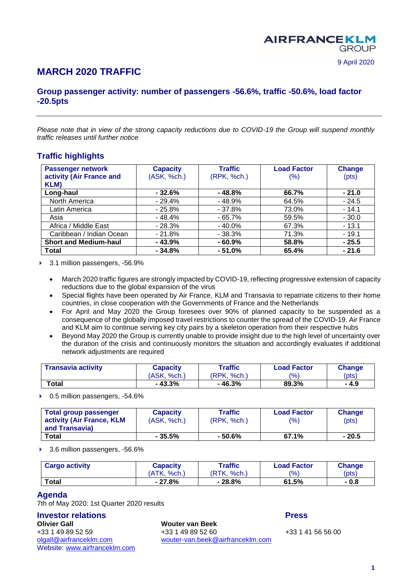# **MARCH 2020 TRAFFIC**

## **Group passenger activity: number of passengers -56.6%, traffic -50.6%, load factor -20.5pts**

*Please note that in view of the strong capacity reductions due to COVID-19 the Group will suspend monthly traffic releases until further notice*

## **Traffic highlights**

| <b>Passenger network</b>     | <b>Capacity</b> | <b>Traffic</b> | <b>Load Factor</b> | <b>Change</b> |
|------------------------------|-----------------|----------------|--------------------|---------------|
| activity (Air France and     | (ASK, %ch.)     | (RPK, %ch.)    | (% )               | (pts)         |
| KLM)                         |                 |                |                    |               |
| Long-haul                    | $-32.6%$        | $-48.8%$       | 66.7%              | $-21.0$       |
| North America                | - 29.4%         | $-48.9%$       | 64.5%              | $-24.5$       |
| Latin America                | $-25.8%$        | $-37.8%$       | 73.0%              | $-14.1$       |
| Asia                         | $-48.4%$        | $-65.7%$       | 59.5%              | $-30.0$       |
| Africa / Middle East         | $-28.3%$        | $-40.0\%$      | 67.3%              | $-13.1$       |
| Caribbean / Indian Ocean     | $-21.8%$        | $-38.3%$       | 71.3%              | $-19.1$       |
| <b>Short and Medium-haul</b> | $-43.9%$        | $-60.9%$       | 58.8%              | $-25.5$       |
| <b>Total</b>                 | $-34.8%$        | $-51.0%$       | 65.4%              | $-21.6$       |

▶ 3.1 million passengers, -56.9%

- March 2020 traffic figures are strongly impacted by COVID-19, reflecting progressive extension of capacity reductions due to the global expansion of the virus
- Special flights have been operated by Air France, KLM and Transavia to repatriate citizens to their home countries, in close cooperation with the Governments of France and the Netherlands
- For April and May 2020 the Group foresees over 90% of planned capacity to be suspended as a consequence of the globally imposed travel restrictions to counter the spread of the COVID-19. Air France and KLM aim to continue serving key city pairs by a skeleton operation from their respective hubs
- Beyond May 2020 the Group is currently unable to provide insight due to the high level of uncertainty over the duration of the crisis and continuously monitors the situation and accordingly evaluates if additional network adjustments are required

| <b>Transavia activity</b> | <b>Capacity</b> | Traffic     | <b>Load Factor</b> | <b>Change</b> |
|---------------------------|-----------------|-------------|--------------------|---------------|
|                           | (ASK, %ch.)     | (RPK. %ch.) | (%)                | (pts)         |
| $\tau$ otal               | $-43.3%$        | $-46.3%$    | 89.3%              | - 4.9         |

#### ▶ 0.5 million passengers, -54.6%

| Total group passenger<br>activity (Air France, KLM<br>and Transavia) | <b>Capacity</b><br>(ASK, %ch.) | Traffic<br>(RPK, %ch.) | <b>Load Factor</b><br>(9/6) | Change<br>$(\mathsf{pts})$ |
|----------------------------------------------------------------------|--------------------------------|------------------------|-----------------------------|----------------------------|
| <b>Total</b>                                                         | $-35.5%$                       | - 50.6%                | 67.1%                       | - 20.5                     |

▶ 3.6 million passengers, -56.6%

| <b>Cargo activity</b> | Capacity    | Traffic     | <b>Load Factor</b> | <b>Change</b> |
|-----------------------|-------------|-------------|--------------------|---------------|
|                       | (ATK, %ch.) | (RTK, %ch.) | $\frac{10}{6}$     | (pts)         |
| Total                 | $-27.8%$    | $-28.8%$    | 61.5%              | - 0.8         |

#### **Agenda**

7th of May 2020: 1st Quarter 2020 results

**Olivier Gall Wouter van Beek** Website: [www.airfranceklm.com](http://www.airfranceklm.com/)

**Investor relations Press** +33 1 49 89 52 59 +33 1 49 89 52 60 +33 1 49 89 +33 1 41 56 56 00<br>
olgall@airfranceklm.com wouter-van.beek@airfranceklm.com [wouter-van.beek@airfranceklm.com](mailto:wouter-van.beek@airfranceklm.com)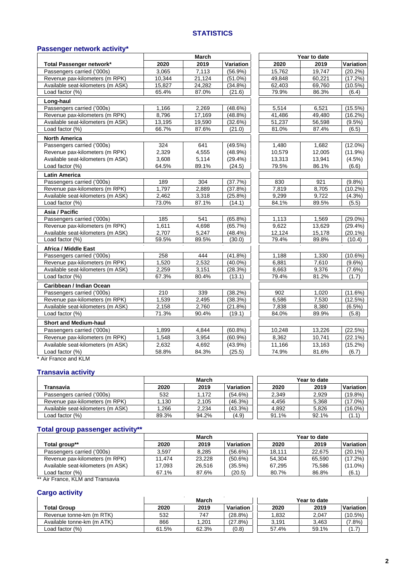### **STATISTICS**

#### **Passenger network activity\***

|                                   |        | March  |            |        | Year to date |            |
|-----------------------------------|--------|--------|------------|--------|--------------|------------|
| Total Passenger network*          | 2020   | 2019   | Variation  | 2020   | 2019         | Variation  |
| Passengers carried ('000s)        | 3,065  | 7,113  | $(56.9\%)$ | 15,762 | 19,747       | (20.2%)    |
| Revenue pax-kilometers (m RPK)    | 10.344 | 21,124 | $(51.0\%)$ | 49.848 | 60,221       | (17.2%)    |
| Available seat-kilometers (m ASK) | 15,827 | 24,282 | $(34.8\%)$ | 62,403 | 69,760       | $(10.5\%)$ |
| Load factor (%)                   | 65.4%  | 87.0%  | (21.6)     | 79.9%  | 86.3%        | (6.4)      |
| Long-haul                         |        |        |            |        |              |            |
| Passengers carried ('000s)        | 1,166  | 2,269  | $(48.6\%)$ | 5,514  | 6,521        | (15.5%)    |
| Revenue pax-kilometers (m RPK)    | 8,796  | 17,169 | $(48.8\%)$ | 41,486 | 49,480       | (16.2%)    |
| Available seat-kilometers (m ASK) | 13,195 | 19,590 | (32.6%)    | 51,237 | 56,598       | $(9.5\%)$  |
| Load factor $(\%)$                | 66.7%  | 87.6%  | (21.0)     | 81.0%  | 87.4%        | (6.5)      |
| <b>North America</b>              |        |        |            |        |              |            |
| Passengers carried ('000s)        | 324    | 641    | (49.5%)    | 1,480  | 1,682        | $(12.0\%)$ |
| Revenue pax-kilometers (m RPK)    | 2,329  | 4,555  | (48.9%)    | 10,579 | 12,005       | $(11.9\%)$ |
| Available seat-kilometers (m ASK) | 3,608  | 5,114  | (29.4%     | 13,313 | 13,941       | (4.5%)     |
| Load factor (%)                   | 64.5%  | 89.1%  | (24.5)     | 79.5%  | 86.1%        | (6.6)      |
| <b>Latin America</b>              |        |        |            |        |              |            |
| Passengers carried ('000s)        | 189    | 304    | (37.7%)    | 830    | 921          | (9.8%)     |
| Revenue pax-kilometers (m RPK)    | 1,797  | 2.889  | (37.8%)    | 7,819  | 8,705        | $(10.2\%)$ |
| Available seat-kilometers (m ASK) | 2,462  | 3,318  | (25.8%)    | 9,299  | 9,722        | (4.3%)     |
| Load factor (%)                   | 73.0%  | 87.1%  | (14.1)     | 84.1%  | 89.5%        | (5.5)      |
| Asia / Pacific                    |        |        |            |        |              |            |
| Passengers carried ('000s)        | 185    | 541    | $(65.8\%)$ | 1,113  | 1,569        | $(29.0\%)$ |
| Revenue pax-kilometers (m RPK)    | 1,611  | 4,698  | (65.7%)    | 9,622  | 13,629       | $(29.4\%)$ |
| Available seat-kilometers (m ASK) | 2,707  | 5,247  | $(48.4\%)$ | 12,124 | 15,178       | $(20.1\%)$ |
| Load factor (%)                   | 59.5%  | 89.5%  | (30.0)     | 79.4%  | 89.8%        | (10.4)     |
| <b>Africa / Middle East</b>       |        |        |            |        |              |            |
| Passengers carried ('000s)        | 258    | 444    | (41.8%     | 1,188  | 1,330        | $(10.6\%)$ |
| Revenue pax-kilometers (m RPK)    | 1,520  | 2,532  | $(40.0\%)$ | 6,881  | 7,610        | $(9.6\%)$  |
| Available seat-kilometers (m ASK) | 2,259  | 3,151  | (28.3%)    | 8,663  | 9,376        | (7.6%)     |
| Load factor (%)                   | 67.3%  | 80.4%  | (13.1)     | 79.4%  | 81.2%        | (1.7)      |
| Caribbean / Indian Ocean          |        |        |            |        |              |            |
| Passengers carried ('000s)        | 210    | 339    | (38.2%)    | 902    | 1,020        | (11.6%)    |
| Revenue pax-kilometers (m RPK)    | 1,539  | 2,495  | (38.3%)    | 6,586  | 7,530        | (12.5%)    |
| Available seat-kilometers (m ASK) | 2,158  | 2,760  | (21.8%)    | 7,838  | 8,380        | (6.5%)     |
| Load factor (%)                   | 71.3%  | 90.4%  | (19.1)     | 84.0%  | 89.9%        | (5.8)      |
| <b>Short and Medium-haul</b>      |        |        |            |        |              |            |
| Passengers carried ('000s)        | 1,899  | 4,844  | $(60.8\%)$ | 10,248 | 13,226       | (22.5%)    |
| Revenue pax-kilometers (m RPK)    | 1,548  | 3,954  | (60.9%     | 8,362  | 10,741       | $(22.1\%)$ |
| Available seat-kilometers (m ASK) | 2,632  | 4,692  | $(43.9\%)$ | 11,166 | 13,163       | $(15.2\%)$ |
| Load factor (%)                   | 58.8%  | 84.3%  | (25.5)     | 74.9%  | 81.6%        | (6.7)      |

\* Air France and KLM

## **Transavia activity**

|                                   | March |       |            |       | Year to date |            |
|-----------------------------------|-------|-------|------------|-------|--------------|------------|
| Transavia                         | 2020  | 2019  | Variation  | 2020  | 2019         | Variation  |
| Passengers carried ('000s)        | 532   | . 172 | (54.6%)    | 2.349 | 2.929        | $(19.8\%)$ |
| Revenue pax-kilometers (m RPK)    | 1.130 | 2.105 | (46.3%)    | 4.456 | 5.368        | $(17.0\%)$ |
| Available seat-kilometers (m ASK) | .266  | 2.234 | $(43.3\%)$ | 4.892 | 5.826        | $(16.0\%)$ |
| Load factor (%)                   | 89.3% | 94.2% | (4.9)      | 91.1% | 92.1%        | (1.1)      |

## **Total group passenger activity\*\***

|                                   | March  |        |            |        | Year to date |            |
|-----------------------------------|--------|--------|------------|--------|--------------|------------|
| Total group**                     | 2020   | 2019   | Variation  | 2020   | 2019         | Variation  |
| Passengers carried ('000s)        | 3.597  | 8,285  | $(56.6\%)$ | 18.111 | 22.675       | $(20.1\%)$ |
| Revenue pax-kilometers (m RPK)    | 11.474 | 23.228 | $(50.6\%)$ | 54.304 | 65.590       | $(17.2\%)$ |
| Available seat-kilometers (m ASK) | 17,093 | 26,516 | $(35.5\%)$ | 67.295 | 75,586       | $(11.0\%)$ |
| Load factor (%)                   | 67.1%  | 87.6%  | (20.5)     | 80.7%  | 86.8%        | (6.1)      |

\*\* Air France, KLM and Transavia

### **Cargo activity**

|                            | March |       |                  |       | Year to date |               |
|----------------------------|-------|-------|------------------|-------|--------------|---------------|
| <b>Total Group</b>         | 2020  | 2019  | <b>Variation</b> | 2020  | 2019         | Variation     |
| Revenue tonne-km (m RTK)   | 532   | 747   | (28.8%)          | 1.832 | 2.047        | $(10.5\%)$    |
| Available tonne-km (m ATK) | 866   | .201  | (27.8%)          | 3,191 | 3,463        | 7.8%          |
| Load factor (%)            | 61.5% | 62.3% | (0.8)            | 57.4% | 59.1%        | $1.7^{\circ}$ |